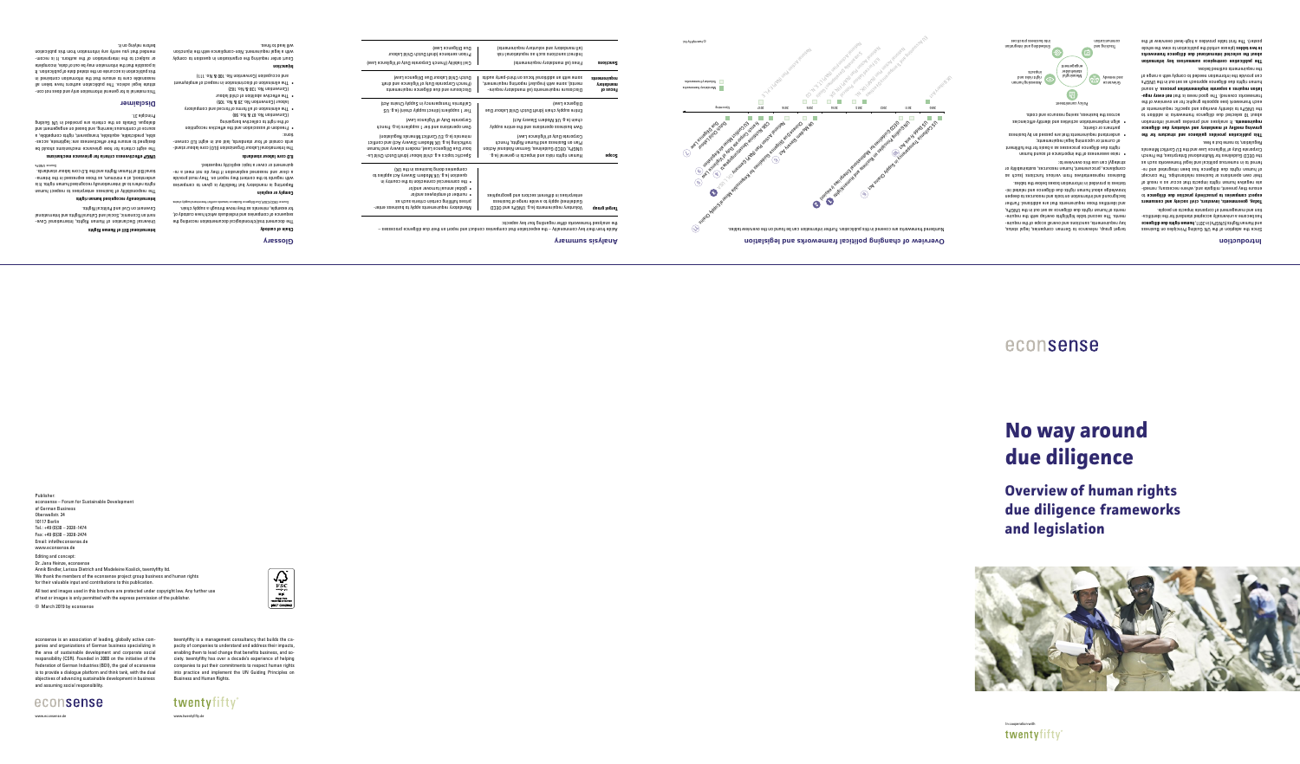# Publisher:

econsense – Forum for Sustainable Development of German Business Oberwallstr. 24 10117 Berlin Tel.: +49 (0)30 – 2028-1474 Fax: +49 (0)30 – 2028-2474 Email: info@econsense.de

www.econsense.de Editing and concept: Dr. Jana Heinze, econsense

Annik Bindler, Larissa Dietrich and Madeleine Koalick, twentyfifty ltd.

We thank the members of the econsense project group business and human rights

for their valuable input and contributions to this publication.

All text and images used in this brochure are protected under copyright law. Any further use

 $\begin{array}{c}\n\hline\n\text{FSC} \\
\text{FSC} \\
\text{multx} \\
\text{MIX} \\
\text{nonresonality sources} \\
\text{FSC}^{\text{nonresonality}}\n\end{array}$ 

of text or images is only permitted with the express permission of the publisher.

© March 2019 by econsense

 the analysed frameworks differ regarding four key aspects: **Target group by an intensional set on the Septer** of CECD

twentyfifty is a management consultancy that builds the ca-Business and Human Rights.

# econsense www.econsense.d

pacity of companies to understand and address their impacts, enabling them to lead change that benefits business, and society. twentyfifty has over a decade's experience of helping companies to put their commitments to respect human rights into practice and implement the UN Guiding Principles on Since the adoption of the UN Guiding Principles on Business a**on Human Rights (UNGPs)** in 2011, Indentum Bands and Bue **e** and Bue **e** has become a universally accepted standard for the identification and management of corporate impacts on people.

Today, governments, investors, civil society and consumers to **expect companies to proactively practise due diligence** - ensure they prevent, mitigate and, where necessary, remedi ate negative human rights impacts that occur as a result of their own operations or business relationships. The concept of human rights dup and the discussed and the ferred to in numerous political and legal frameworks such as the OECD Guidelines for Multinational Enterprises, the French Corporate Duty of Vigilance Law and the EU Conflict Minerals

econsense is an association of leading, globally active companies and organizations of German business specializing in the area of sustainable development and corporate social responsibility (CSR). Founded in 2000 on the initiative of the Federation of German Industries (BDI), the goal of econsense objectives of advancing sustainable development in business and assuming social responsibility.

is to provide a dialogue platform and think tank, with the dual

www.twentyfifty.de

twentyfifty





This publication provides guidance and structure for the **growing medley of mandatory and voluntary due diligence**  requirements. It analyses and provides general information about 10 selected bure diligence frameworks in addition to the UNGPs to identify overlaps and specific requirements of each framework (see opposite graphic for an overview of the frameworks covered). The good news is that **not every regu-**. A sound **lation requires a separate implementation process**  $s$ d $\theta$ N $\eta$  əy $\iota$  uiligence approach as set out in the UNGPs can provide the information needed to comply with a range of

## **Introduction**

Regulation, to name but a few.

the requirements outlined below. The publication centrepiece summarises key cardinal and **about the selected international due diligence frameworks**  in two taples (please nutole at plone as in the whole whole poster). The first table provides a high-level overview of the

target group, relevance to German companies, legal status, key reduirements, saroitons and overall scope of the requirements. The second table highlights overlap with the requirements of human rights due diligence as set out in the DNGPs, and identifies those requirements that are additional. Further background and information on tools and resources to deepen knowledge about human rights and relations and related initiatives is provided in information boxes below the tables. Eraions rebreseuts functions and as a green as a serise representatives representatives representatives represe compliance, procurement, human resources, sustainability or

The document trail/chronological leopopor noising the sequence of companies and individuals which have custody of, for example, minerals as they move through a supply chain. Source: OECD/ICGLR, Due Diligence Guidance: towards conflict-free mineral supply chains

Reporting is mandatory but flexibility is given to companies with regards to the content they report on. They must provide a clear and reasoned band in the value in the re-

- The International Labour Organization (ILO) core labour stand ards consist of too is an eight in the out in eight ILO conven-

strategy) can use this overview to:

of current or upcoming legal requirements;

rights due diligence processes as a basis for the fulfilment

• understand reduirements that are passed on business as

Court order requiring the organisation in question to comply with a legal requirement. Non-compliance with the injunction

partners or clients;

of the importance of the importance of sound human and  $\bullet$ 

• align implementation activities and identify efficiencies



Universal Declaration of Human Rights, International Covenant on Economic, Social and Cultural Rights and International Indirect sanctions such as reputational risk (all mandatory and voluntary requirements)

The responsibility of business enterprises to respect human rights refers to all internationally recognised human rights. It is - eunderstood, at a minimum's a soulaise fundinum estable. tional Bill of Human Rights and the ILO core labour standards.

|               | enterprises in different sectors and geographies   |
|---------------|----------------------------------------------------|
|               | Guidelines) apply to out tande range of basis      |
| J. <b>. .</b> | $-222$ nun q $-212$ $-612$ $-2112$ $-1212$ $-1212$ |

Mandatory requirements apply to business enterprises fulfilling certain criteria such as

Panies commuct and report on the subset of the series of the top counter and teleption of the diligence or ash

# **Overview of human rights due diligence fameworks and legislation**

• number of employees and/or • global annual turnover and/or

• the commercial connection to the country in question (e.g. UK Modern Slavery Act applies to

companies doing business in the UK)

Specific topics e.g. child labour (draft Dutch Child La- $\parallel$  bour Due Diligence Law), modern slavery and human trafficking (e.g. UK Modern Slavery Act) and conflict minerals (e.g. EU Conflict Minerals Regulation)

Prison sentence (draft Dutch Child Labour Due Diligence Law) Disclosure and due diligence requirements  $\mathcal{F}(\mathcal{F})$  (French Corporate Duty of Vigilance and draft Dutch Child Labour Due Diligence Law) Civil liability (French Corporate Duty of Vigilance Law) Fines (all mandatory requirements) **Sanctions**



Own operations and tier 1 suppliers (e.g. French

| Sanctions                              | Fines (all mandatory requirements)                                                                                                                                                    |
|----------------------------------------|---------------------------------------------------------------------------------------------------------------------------------------------------------------------------------------|
| requirements<br>mandatory<br>Fo eus of | stibus ynaq-biidt no zuoot lanoitibba na dtiw emoz<br>tremeniy), some with (regular) reporting reduirement,<br>Disclosure requirements (all mandatory require-                        |
|                                        | Diligence Law)<br>Entire supply chain (draft Dutch Child Labour Due                                                                                                                   |
|                                        | (toA yavel2 maboM XU .p.a) nisdo<br>Own business operations and the entire supply                                                                                                     |
| Scope                                  | Corporate Duty of Vigilance Law)<br>Plan on Business and Human Rights, French<br>noito A lanoita Guidelines, German National Action<br>.g.a) Is anag ni zto aqmi bns zaki ztdgi namuH |

Corporate Duty of Vigilance Law)

Tier 1 suppliers (direct supply chain) (e.g. US California Transparency in Supply Chains Act)



## **Glossary**

## **Chain of custody**

**Comply or explain**

quirement or cover a topic explicitly requested.

**ILO core labour standards**

tions:

• Freedom of association and the effective recognition

 of the right to collective bargaining (Convention No. 87 & No. 98)

• The elimination of all forms of forced and compulsory

 labour (Convention No. 29 & No. 105) • The effective abolition of child labour (Convention No. 138 & No. 182)

• The elimination of discrimination in respect of employment

and occupation (Convention No. 100 & No. 111)

**Injunction**

will lead to fines.

**Disclaimer**

before relying on it.

This material is for general information only and does not constitute legal advice. The publication authors have taken all reasonable care to ensure that the information contained in this publication is accurate on the stated date of publication. It is possible that the information may be out of date, incomplete or subject to the interpretation of the authors. It is recommended that you verify support in the support of the support of the support of the public support of the suppo

**International Bill of Human Rights**

Covenant on Civil and Political Rights. **Internationally recognised human rights**

**UNGP effectiveness criteria for grievance mechanisms** The eight criteria for how grievance mechanisms should be - designed to ensure their effectiveness are: legitimate, acces sible, predictable, equitable, transparent, rights compatible, a source of continuous learning, and based on engagement and dialogue. Details on the criteria are provided in UN Guiding

Surce: UNGPs

Principle 31.

# **No way around due diligence**

# econsense